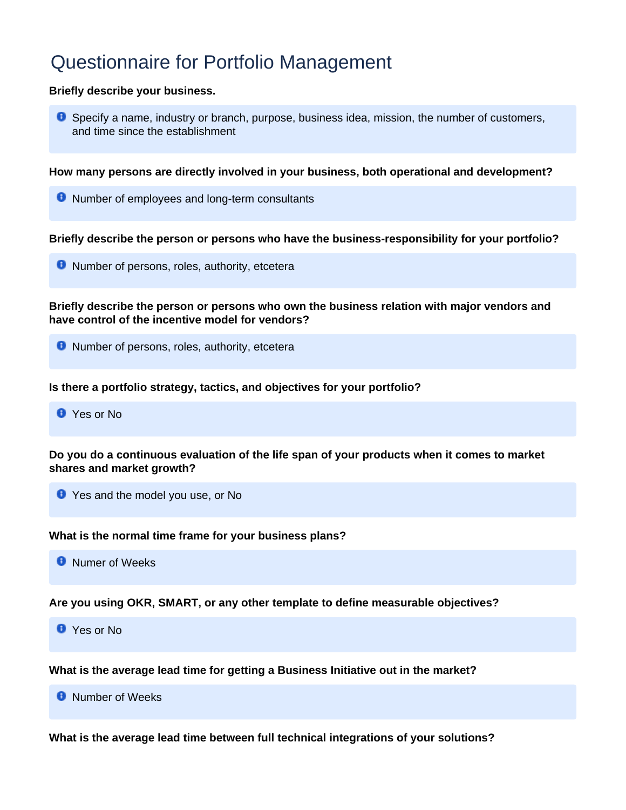## Questionnaire for Portfolio Management

## **Briefly describe your business.**

**O** Specify a name, industry or branch, purpose, business idea, mission, the number of customers, and time since the establishment

**How many persons are directly involved in your business, both operational and development?**

**O** Number of employees and long-term consultants

**Briefly describe the person or persons who have the business-responsibility for your portfolio?**

**O** Number of persons, roles, authority, etcetera

**Briefly describe the person or persons who own the business relation with major vendors and have control of the incentive model for vendors?**

**O** Number of persons, roles, authority, etcetera

**Is there a portfolio strategy, tactics, and objectives for your portfolio?**

**O** Yes or No.

**Do you do a continuous evaluation of the life span of your products when it comes to market shares and market growth?**

**O** Yes and the model you use, or No

**What is the normal time frame for your business plans?**

**O** Numer of Weeks

**Are you using OKR, SMART, or any other template to define measurable objectives?**

**C** Yes or No

**What is the average lead time for getting a Business Initiative out in the market?**

**O** Number of Weeks

**What is the average lead time between full technical integrations of your solutions?**